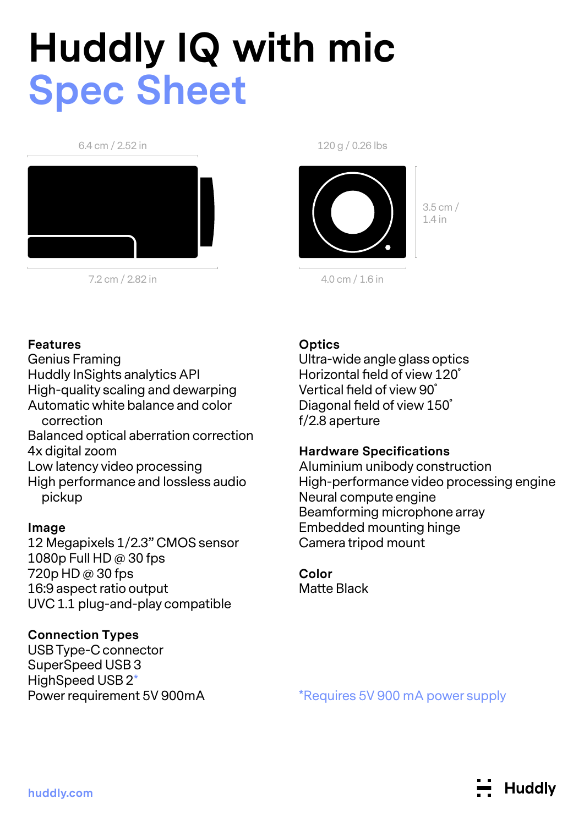# **Huddly IQ with mic Spec Sheet**

#### 6.4 cm / 2.52 in



7.2 cm / 2.82 in

120 g / 0.26 lbs



3.5 cm / 1.4 in

4.0 cm / 1.6 in

## **Features**

Genius Framing Huddly InSights analytics API High-quality scaling and dewarping Automatic white balance and color correction Balanced optical aberration correction 4x digital zoom Low latency video processing High performance and lossless audio pickup

## **Image**

12 Megapixels 1/2.3" CMOS sensor 1080p Full HD @ 30 fps 720p HD @ 30 fps 16:9 aspect ratio output UVC 1.1 plug-and-play compatible

# **Connection Types**

USB Type-C connector SuperSpeed USB 3 HighSpeed USB 2\* Power requirement 5V 900mA

# **Optics**

Ultra-wide angle glass optics Horizontal field of view 120˚ Vertical field of view 90˚ Diagonal field of view 150˚ f/2.8 aperture

## **Hardware Specifications**

Aluminium unibody construction High-performance video processing engine Neural compute engine Beamforming microphone array Embedded mounting hinge Camera tripod mount

#### **Color** Matte Black

\*Requires 5V 900 mA power supply